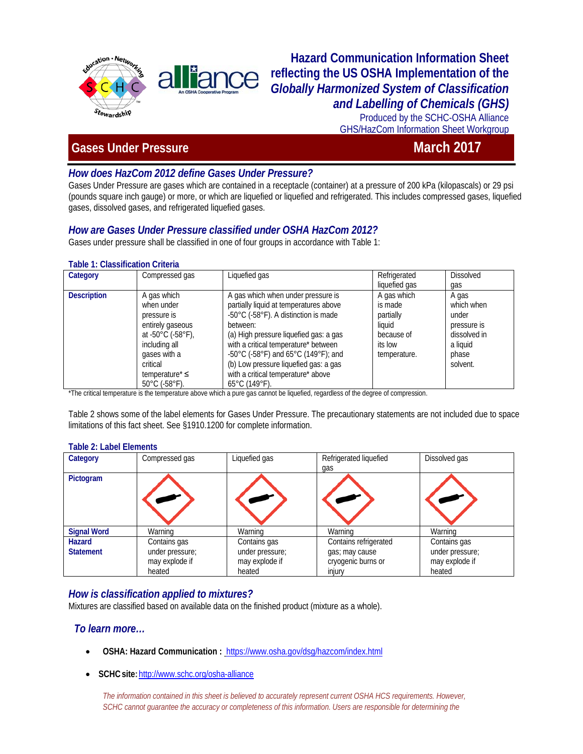

# **Hazard Communication Information Sheet reflecting the US OSHA Implementation of the**  *Globally Harmonized System of Classification and Labelling of Chemicals (GHS)*

Produced by the SCHC-OSHA Alliance GHS/HazCom Information Sheet Workgroup

# **Cases Under Pressure March 2017**

# *How does HazCom 2012 define Gases Under Pressure?*

Gases Under Pressure are gases which are contained in a receptacle (container) at a pressure of 200 kPa (kilopascals) or 29 psi (pounds square inch gauge) or more, or which are liquefied or liquefied and refrigerated. This includes compressed gases, liquefied gases, dissolved gases, and refrigerated liquefied gases.

# *How are Gases Under Pressure classified under OSHA HazCom 2012?*

Gases under pressure shall be classified in one of four groups in accordance with Table 1:

### **Table 1: Classification Criteria**

| Category           | Compressed gas                                                                                                                           | Liquefied gas                                                                                                                                                                                                                                             | Refrigerated                                                                           | <b>Dissolved</b>                                                                 |
|--------------------|------------------------------------------------------------------------------------------------------------------------------------------|-----------------------------------------------------------------------------------------------------------------------------------------------------------------------------------------------------------------------------------------------------------|----------------------------------------------------------------------------------------|----------------------------------------------------------------------------------|
|                    |                                                                                                                                          |                                                                                                                                                                                                                                                           | liquefied gas                                                                          | qas                                                                              |
| <b>Description</b> | A gas which<br>when under<br>pressure is<br>entirely gaseous<br>at -50 $^{\circ}$ C (-58 $^{\circ}$ F),<br>including all<br>gases with a | A gas which when under pressure is<br>partially liquid at temperatures above<br>-50°C (-58°F). A distinction is made<br>between:<br>(a) High pressure liquefied gas: a gas<br>with a critical temperature* between<br>-50°C (-58°F) and 65°C (149°F); and | A gas which<br>is made<br>partially<br>liauid<br>because of<br>its low<br>temperature. | A gas<br>which when<br>under<br>pressure is<br>dissolved in<br>a liquid<br>phase |
|                    | critical                                                                                                                                 | (b) Low pressure liquefied gas: a gas                                                                                                                                                                                                                     |                                                                                        | solvent.                                                                         |
|                    | temperature* $\leq$                                                                                                                      | with a critical temperature* above                                                                                                                                                                                                                        |                                                                                        |                                                                                  |
|                    | $50^{\circ}$ C (-58 $^{\circ}$ F).                                                                                                       | $65^{\circ}$ C (149 $^{\circ}$ F).                                                                                                                                                                                                                        |                                                                                        |                                                                                  |

\*The critical temperature is the temperature above which a pure gas cannot be liquefied, regardless of the degree of compression.

Table 2 shows some of the label elements for Gases Under Pressure. The precautionary statements are not included due to space limitations of this fact sheet. See §1910.1200 for complete information.

#### **Table 2: Label Elements**

| Category                          | Compressed gas                                    | Liquefied gas                                     | Refrigerated liquefied<br>qas                                 | Dissolved gas                                     |
|-----------------------------------|---------------------------------------------------|---------------------------------------------------|---------------------------------------------------------------|---------------------------------------------------|
| Pictogram                         |                                                   |                                                   |                                                               |                                                   |
| <b>Signal Word</b>                | Warning                                           | Warning                                           | Warning                                                       | Warning                                           |
| <b>Hazard</b><br><b>Statement</b> | Contains gas<br>under pressure;<br>may explode if | Contains gas<br>under pressure;<br>may explode if | Contains refrigerated<br>gas; may cause<br>cryogenic burns or | Contains gas<br>under pressure;<br>may explode if |
|                                   | heated                                            | heated                                            | injury                                                        | heated                                            |

## *How is classification applied to mixtures?*

Mixtures are classified based on available data on the finished product (mixture as a whole).

## *To learn more…*

- **OSHA: Hazard Communication :** <https://www.osha.gov/dsg/hazcom/index.html>
- **SCHCsite:**<http://www.schc.org/osha-alliance>

The information contained in this sheet is believed to accurately represent current OSHA HCS requirements. However, SCHC cannot guarantee the accuracy or completeness of this information. Users are responsible for determining the